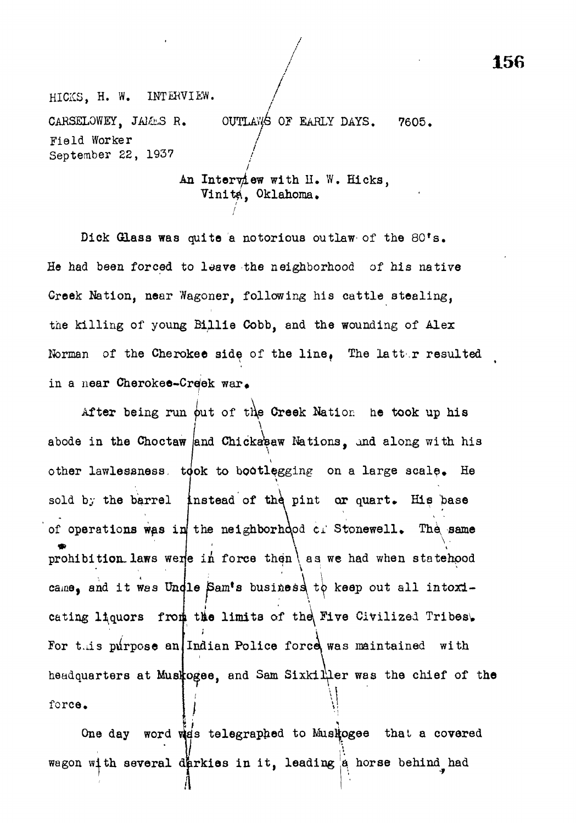HICKS, H. W. INTERVIEW. CARSELOWEY, JAMES R. OUTLAWS OF EARLY DAYS. 7605. Field Worker / September 22, 1937

> / An interview with  $n_{\bullet}$  w. Hicks, Vinita, Oklahoma.

Dick Glass was quite a notorious outlaw of the 80's. He had been forced to leave the neighborhood of his native Greek Nation, near Wagoner, following his cattle stealing, the killing of young Billie Cobb, and the wounding of Alex Norman of the Cherokee side of the line. The latter resulted in a near Cherokee-Creek war.

After being run out of the Creek Nation he took up his abode in the Choctaw and Chickasaw Nations, and along with his other lawlessness, took to bootlegging on a large scale. He sold by the barrel instead of the pint or quart. His base  $\overline{S}$  by the barrel instead of the pint of the pint of the pint of the pint of the pint of  $\overline{B}$ of operations was in! the neighborhood *ti* Stonewell, The, same prohibition. laws were in force then  $\vert$  as we had when statehood came, and it was Undle Sam's business to keep out all intoxicating liquors from the limits of the Five Civilized Tribes. For this purpose an Indian Police force was maintained with force. headquarters at Musicogee, and Sam Sixkiller was the chief of the  $\mathbf{y}$ 

One day word was telegraphed to Muskogee that a covered wagon with several derkies in it, leading a horse behind had

**/ 156**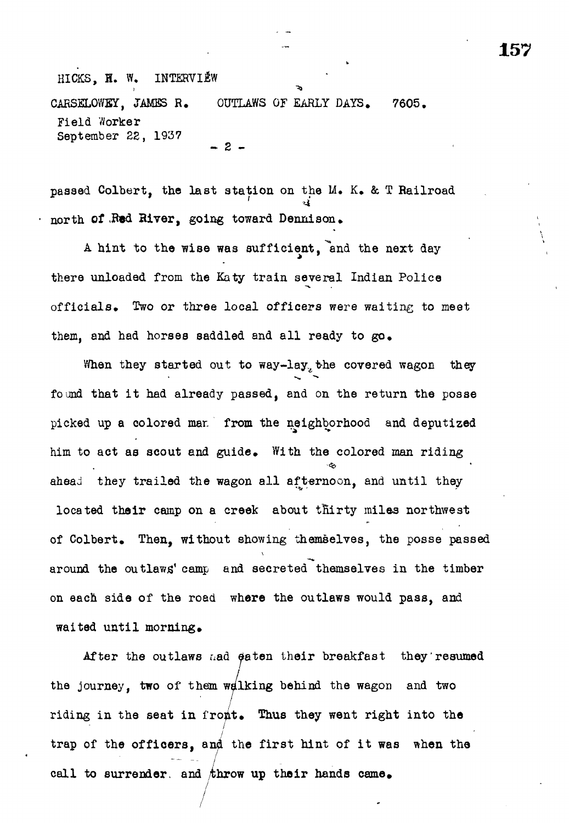passed Colbert, the last station on the M. K, & T Railroad north of .Red River, going toward Dennison.

A hint to the wise was sufficient, end the next day there unloaded from the Katy train several Indian Police officials. Two or three local officers were waiting to meet them, and had horses saddled and all ready to go.

When they started out to way-lay, the covered wagon they found that it had already passed, and on the return the posse picked up a colored mar. from the neighborhood and deputized him to act as scout and guide. With the colored man riding ahead they trailed the wagon all afternoon, and until they located their camp on a creek about thirty milas northwest of Colbert. Then, without showing themselves, the posse passed around the outlaws' camp and secreted themselves in the timber on each side of the road where the outlaws would pass, and waited until morning.

After the outlaws nad eaten their breakfast they resumed the journey, two of them walking behind the wagon and two riding in the seat in front. Thus they went right into the / trap of the officers, and the first hint of it was when the call to surrender, and throw up their hands came.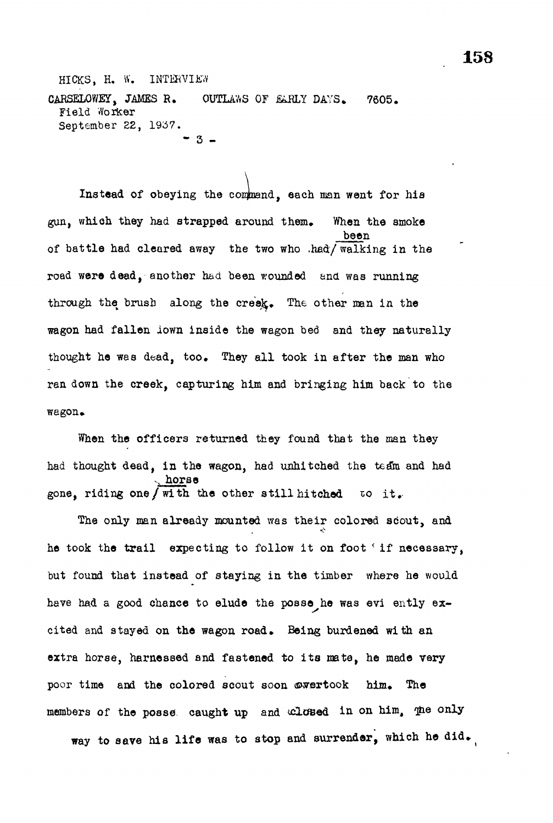HICKS, H. W. INTERVIEW CARSELOWEY, JAMES R. OUTLAWS OF EARLY DAYS. 7605. Field Worker September 22, 1957. - 3 -

Instead of obeying the conpand, each man went for hia gun, which they had strapped around them. When the smoke been of battle had cleared away the two who ,had/ walking in the road were dead, another had been wounded and was running through the brush along the creek. The other man in the wagon had fallen iown inside the wagon bed and they naturally thought he was dead, too. They all took in after the man who ran down the creek, capturing him and bringing him back to the wagon\*

When the officers returned they found that the man they had thought dead, in the wagon, had unhitched the team and had ., horse gone, riding one/with the other still hitched to it.

The only man already mounted was their colored scout, and he took the trail expecting to follow it on foot < if necessary, but found that instead of staying in the timber where he would have had a good chance to elude the posse he was evi ently excited and stayed on the wagon road. Being burdened with an extra horse, harnessed and fastened to its mate, he made very poor time and the colored scout soon overtook him. The members of the posse caught up and closed in on him, me only way to save his life was to stop and surrender, which he did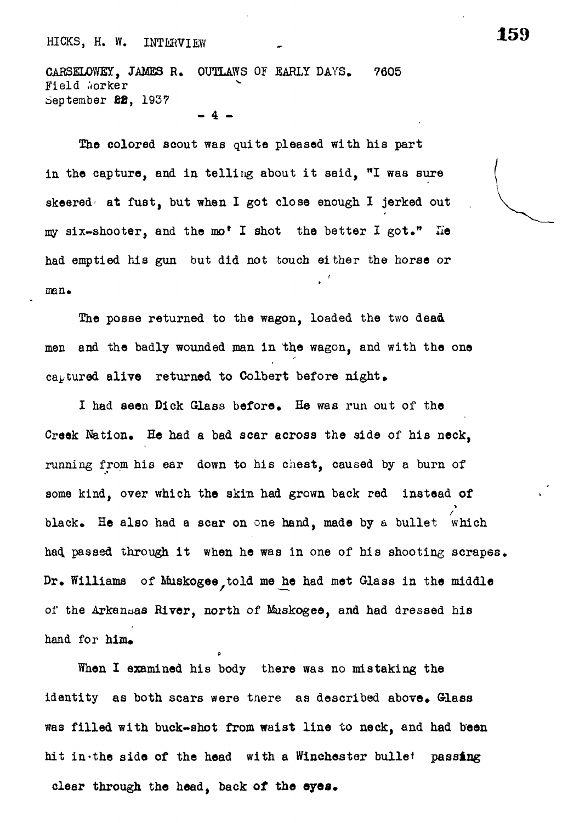CARSELOWEY, JAMES R. OUTLAWS OF EARLY DAYS. 7605 Field Worker September 22, 1937

 $\overline{4}$ 

The colored scout was quite pleased with his part  $T_{\rm eff}$  and  $\sigma_{\rm eff}$  are colored with his particles with his particles  $\sigma_{\rm eff}$ in the capture, and in telling about it said, "I was sure skeered at fust, but when I got close  $\frac{1}{2}$ my six-shooter, and the mo\* I shot the better I got." lie had emptied his gun but did not touch either the horse or man.

The posse returned to the wagon, loaded the two dead men and the badly wounded man in the wagon, and with the one captured alive returned to Colbert before night.

I had seen Dick Glass before. He was run out of the Creek Nation. He had a bad scar across the side of his neck, running from his ear down to his chest, caused by a burn of some kind, over which the skin had grown back red instead of black. He also had a scar on one hand, made by a bullet which had passed through it when he was in one of his shooting scrapes. Dr. Williams of Muskogee, told me he had met Glass in the middle of the Arkansas River, north of Muskogee, and had dressed his hand for  $him$ .

When I examined his body there was no mistaking the identity as both scars were tnere as described above. Glass was filled with buck-shot from waist line to neck, and had been hit in the side of the head with a Winchester bullet passing clear through the head, back **of** the **eyas.**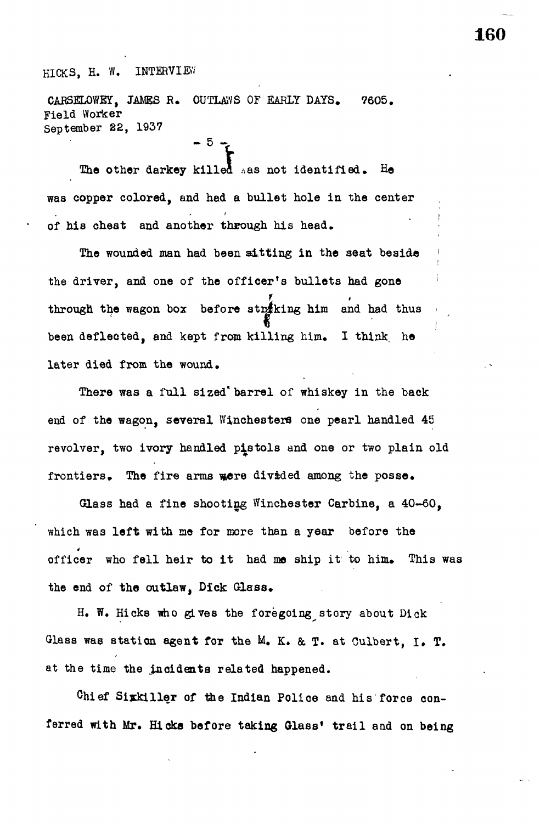CARSELOWEY, JAMES R. OUTLAWS OF EARLY DAYS. 7605. Field Worker September 22, 1937

 $-5 - 1$ 

The other darkey killed  $*$ as not identified. He was copper colored, and had a bullet hole in the center of his chest and another through his head.

The wounded man had been sitting in the seat beside the driver, and one of the officer's bullets had gone ' through the wagon box before striking him and had thus been defleoted, and kept from killing him. I think he later died from the wound.

There was a full sized\* barrel of whiskey in the back end of the wagon, several Winchesters one pearl handled 45 revolver, two ivory handled pistols and one or two plain old frontiers. The fire arms were divided among the posse.

Glass had a fine shooting Winchester Carbine, a 40-60, which was left with me for more than a year before the officer who fell heir to it had me ship it to him. This was the end of the outlaw. Dick Glass.

H. W. Hicks who gives the foregoing story about Dick Glass was station agent for the M. K. & T. at Culbert, I. T. at the time the incidents related happened.

Ohief Sixkiller of the Indian Police and his force oonferred with Mr. Hicks before taking Glass' trail and on being